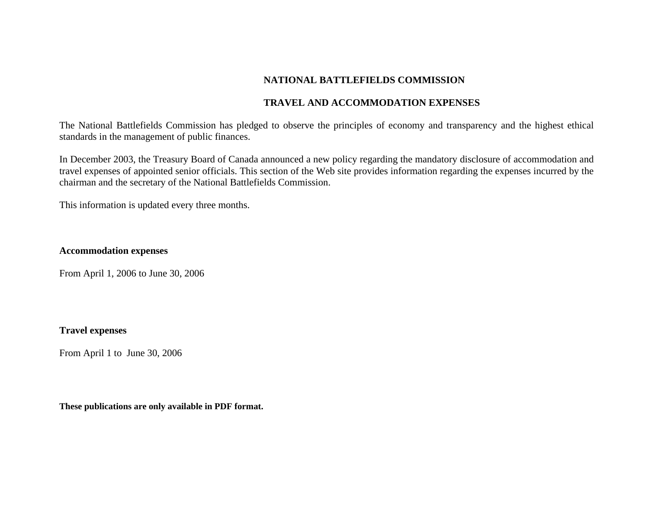# **NATIONAL BATTLEFIELDS COMMISSION**

## **TRAVEL AND ACCOMMODATION EXPENSES**

The National Battlefields Commission has pledged to observe the principles of economy and transparency and the highest ethical standards in the management of public finances.

In December 2003, the Treasury Board of Canada announced a new policy regarding the mandatory disclosure of accommodation and travel expenses of appointed senior officials. This section of the Web site provides information regarding the expenses incurred by the chairman and the secretary of the National Battlefields Commission.

This information is updated every three months.

## **Accommodation expenses**

From April 1, 2006 to June 30, 2006

## **Travel expenses**

From April 1 to June 30, 2006

**These publications are only available in PDF format.**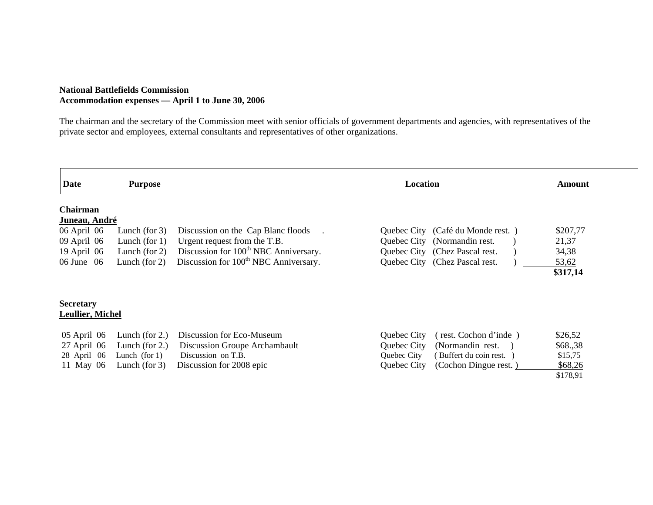### **National Battlefields Commission Accommodation expenses — April 1 to June 30, 2006**

The chairman and the secretary of the Commission meet with senior officials of government departments and agencies, with representatives of the private sector and employees, external consultants and representatives of other organizations.

| Date                                                                                              | <b>Purpose</b>                                                               |                                                                                                                                                                              | Location                                                                                                                                 | Amount                                          |  |  |
|---------------------------------------------------------------------------------------------------|------------------------------------------------------------------------------|------------------------------------------------------------------------------------------------------------------------------------------------------------------------------|------------------------------------------------------------------------------------------------------------------------------------------|-------------------------------------------------|--|--|
| <b>Chairman</b><br>Juneau, André<br>06 April 06<br>09 April 06<br>19 April $06$<br>$06$ June $06$ | Lunch (for $3$ )<br>Lunch (for $1$ )<br>Lunch (for $2$ )<br>Lunch (for $2$ ) | Discussion on the Cap Blanc floods<br>Urgent request from the T.B.<br>Discussion for 100 <sup>th</sup> NBC Anniversary.<br>Discussion for 100 <sup>th</sup> NBC Anniversary. | Quebec City (Café du Monde rest.)<br>Quebec City<br>(Normandin rest.<br>Quebec City (Chez Pascal rest.<br>Quebec City (Chez Pascal rest. | \$207,77<br>21,37<br>34,38<br>53,62<br>\$317,14 |  |  |
| <b>Secretary</b><br><b>Leullier, Michel</b><br>$05$ April $06$<br>$27$ April 06                   | Lunch (for $2$ .)<br>Lunch (for $2.$ )                                       | Discussion for Eco-Museum<br>Discussion Groupe Archambault                                                                                                                   | Quebec City<br>(rest. Cochon d'inde)<br>Quebec City<br>(Normandin rest.                                                                  | \$26,52<br>\$68.,38                             |  |  |
| 28 April 06<br>11 May 06                                                                          | Lunch (for $1$ )<br>Lunch (for $3$ )                                         | Discussion on T.B.<br>Discussion for 2008 epic                                                                                                                               | Quebec City<br>(Buffert du coin rest.)<br>(Cochon Dingue rest.)<br>Quebec City                                                           | \$15,75<br>\$68,26<br>\$178,91                  |  |  |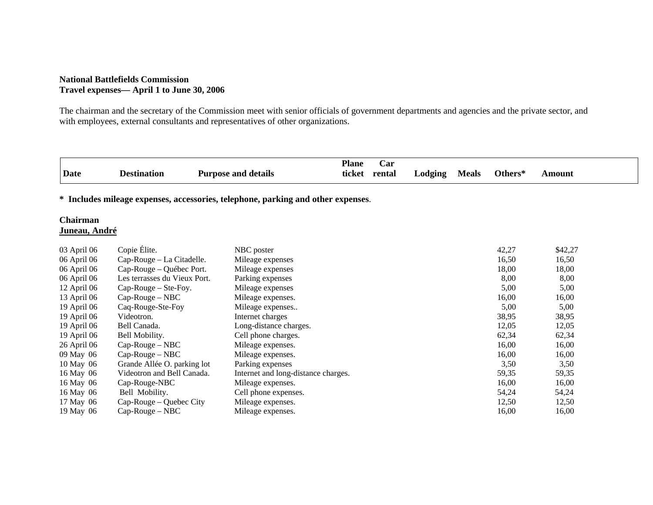### **National Battlefields Commission Travel expenses— April 1 to June 30, 2006**

The chairman and the secretary of the Commission meet with senior officials of government departments and agencies and the private sector, and with employees, external consultants and representatives of other organizations.

|             |                    |                            | <b>Plane</b> | ar)    |         |              |         |               |
|-------------|--------------------|----------------------------|--------------|--------|---------|--------------|---------|---------------|
| <b>Date</b> | <b>Destination</b> | <b>Purpose and details</b> | ticket       | rental | ∟odging | <b>Meals</b> | Others* | <b>\mount</b> |

**\* Includes mileage expenses, accessories, telephone, parking and other expenses**.

### **Chairman Juneau, André**

| 03 April 06   | Copie Élite.                 | NBC poster                          | 42,27 | \$42,27 |
|---------------|------------------------------|-------------------------------------|-------|---------|
| 06 April 06   | Cap-Rouge – La Citadelle.    | Mileage expenses                    | 16,50 | 16,50   |
| 06 April 06   | Cap-Rouge – Québec Port.     | Mileage expenses                    | 18,00 | 18,00   |
| 06 April 06   | Les terrasses du Vieux Port. | Parking expenses                    | 8,00  | 8,00    |
| $12$ April 06 | $Cap-Rouge - Ste-Foy.$       | Mileage expenses                    | 5,00  | 5,00    |
| 13 April 06   | $Cap-Rouge-NBC$              | Mileage expenses.                   | 16,00 | 16,00   |
| 19 April 06   | Caq-Rouge-Ste-Foy            | Mileage expenses                    | 5,00  | 5,00    |
| 19 April 06   | Videotron.                   | Internet charges                    | 38,95 | 38,95   |
| 19 April 06   | Bell Canada.                 | Long-distance charges.              | 12,05 | 12,05   |
| 19 April 06   | Bell Mobility.               | Cell phone charges.                 | 62,34 | 62,34   |
| 26 April 06   | $Cap-Rouge-NBC$              | Mileage expenses.                   | 16,00 | 16,00   |
| 09 May 06     | $Cap-Rouge-NBC$              | Mileage expenses.                   | 16,00 | 16,00   |
| 10 May 06     | Grande Allée O. parking lot  | Parking expenses                    | 3,50  | 3,50    |
| 16 May 06     | Videotron and Bell Canada.   | Internet and long-distance charges. | 59,35 | 59,35   |
| 16 May 06     | Cap-Rouge-NBC                | Mileage expenses.                   | 16,00 | 16,00   |
| 16 May 06     | Bell Mobility.               | Cell phone expenses.                | 54,24 | 54,24   |
| 17 May 06     | Cap-Rouge – Quebec City      | Mileage expenses.                   | 12,50 | 12,50   |
| 19 May 06     | $Cap$ -Rouge – NBC           | Mileage expenses.                   | 16,00 | 16,00   |